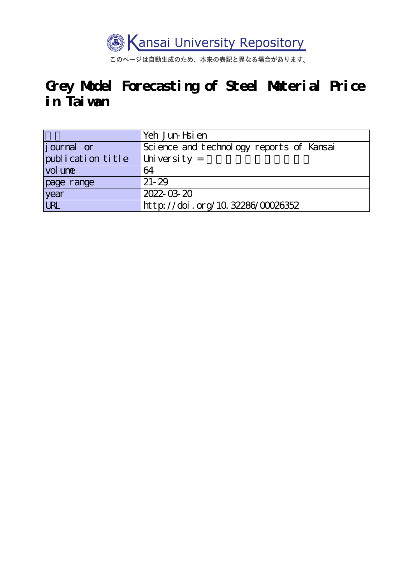

このページは自動生成のため、本来の表記と異なる場合があります。

# **Grey Model Forecasting of Steel Material Price in Taiwan**

|                   | Yeh Jun-Hsien                            |
|-------------------|------------------------------------------|
| journal or        | Science and technology reports of Kansai |
| publication title | University $=$                           |
| vol une           | 64                                       |
| page range        | $21 - 29$                                |
| year<br>URL       | 2022-03-20                               |
|                   | http://doi.org/10.32286/00026352         |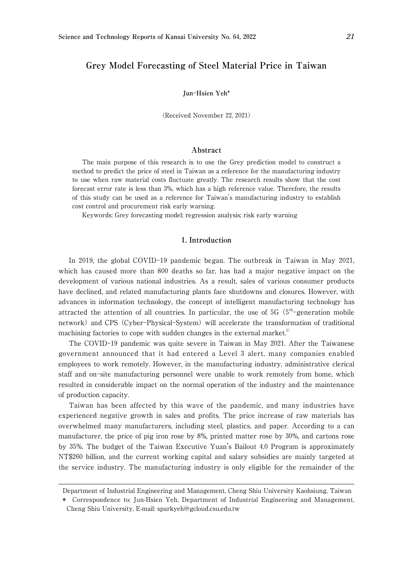# **Grey Model Forecasting of Steel Material Price in Taiwan**

#### **Jun**-**Hsien Yeh\***

(Received November 22, 2021)

### **Abstract**

The main purpose of this research is to use the Grey prediction model to construct a method to predict the price of steel in Taiwan as a reference for the manufacturing industry to use when raw material costs fluctuate greatly. The research results show that the cost forecast error rate is less than 3%, which has a high reference value. Therefore, the results of this study can be used as a reference for Taiwan's manufacturing industry to establish cost control and procurement risk early warning.

Keywords: Grey forecasting model; regression analysis; risk early warning

# 1**. Introduction**

In 2019, the global COVID-19 pandemic began. The outbreak in Taiwan in May 2021, which has caused more than 800 deaths so far, has had a major negative impact on the development of various national industries. As a result, sales of various consumer products have declined, and related manufacturing plants face shutdowns and closures. However, with advances in information technology, the concept of intelligent manufacturing technology has attracted the attention of all countries. In particular, the use of  $5G(5<sup>th</sup>-generation mobile)$ network) and CPS (Cyber-Physical-System) will accelerate the transformation of traditional machining factories to cope with sudden changes in the external market.<sup>1)</sup>

The COVID-19 pandemic was quite severe in Taiwan in May 2021. After the Taiwanese government announced that it had entered a Level 3 alert, many companies enabled employees to work remotely. However, in the manufacturing industry, administrative clerical staff and on-site manufacturing personnel were unable to work remotely from home, which resulted in considerable impact on the normal operation of the industry and the maintenance of production capacity.

Taiwan has been affected by this wave of the pandemic, and many industries have experienced negative growth in sales and profits. The price increase of raw materials has overwhelmed many manufacturers, including steel, plastics, and paper. According to a can manufacturer, the price of pig iron rose by 8%, printed matter rose by 30%, and cartons rose by 35%. The budget of the Taiwan Executive Yuan's Bailout 4.0 Program is approximately NT\$260 billion, and the current working capital and salary subsidies are mainly targeted at the service industry. The manufacturing industry is only eligible for the remainder of the

Department of Industrial Engineering and Management, Cheng Shiu University Kaohsiung, Taiwan

<sup>\*</sup> Correspondence to: Jun-Hsien Yeh, Department of Industrial Engineering and Management, Cheng Shiu University, E-mail: sparkyeh@gcloud.csu.edu.tw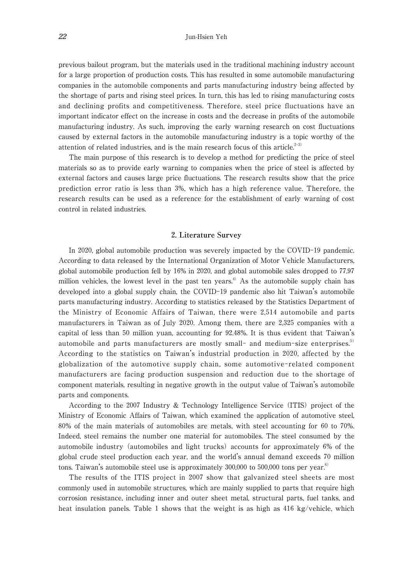previous bailout program, but the materials used in the traditional machining industry account for a large proportion of production costs. This has resulted in some automobile manufacturing companies in the automobile components and parts manufacturing industry being affected by the shortage of parts and rising steel prices. In turn, this has led to rising manufacturing costs and declining profits and competitiveness. Therefore, steel price fluctuations have an important indicator effect on the increase in costs and the decrease in profits of the automobile manufacturing industry. As such, improving the early warning research on cost fluctuations caused by external factors in the automobile manufacturing industry is a topic worthy of the attention of related industries, and is the main research focus of this article. $2-3$ 

The main purpose of this research is to develop a method for predicting the price of steel materials so as to provide early warning to companies when the price of steel is affected by external factors and causes large price fluctuations. The research results show that the price prediction error ratio is less than 3%, which has a high reference value. Therefore, the research results can be used as a reference for the establishment of early warning of cost control in related industries.

## 2**. Literature Survey**

In 2020, global automobile production was severely impacted by the COVID-19 pandemic. According to data released by the International Organization of Motor Vehicle Manufacturers, global automobile production fell by 16% in 2020, and global automobile sales dropped to 77.97 million vehicles, the lowest level in the past ten years.<sup>4)</sup> As the automobile supply chain has developed into a global supply chain, the COVID-19 pandemic also hit Taiwan's automobile parts manufacturing industry. According to statistics released by the Statistics Department of the Ministry of Economic Affairs of Taiwan, there were 2,514 automobile and parts manufacturers in Taiwan as of July 2020. Among them, there are 2,325 companies with a capital of less than 50 million yuan, accounting for 92.48%. It is thus evident that Taiwan's automobile and parts manufacturers are mostly small- and medium-size enterprises.<sup>5)</sup> According to the statistics on Taiwan's industrial production in 2020, affected by the globalization of the automotive supply chain, some automotive-related component manufacturers are facing production suspension and reduction due to the shortage of component materials, resulting in negative growth in the output value of Taiwan's automobile parts and components.

According to the 2007 Industry & Technology Intelligence Service (ITIS) project of the Ministry of Economic Affairs of Taiwan, which examined the application of automotive steel, 80% of the main materials of automobiles are metals, with steel accounting for 60 to 70%. Indeed, steel remains the number one material for automobiles. The steel consumed by the automobile industry (automobiles and light trucks) accounts for approximately 6% of the global crude steel production each year, and the world's annual demand exceeds 70 million tons. Taiwan's automobile steel use is approximately  $300,000$  to  $500,000$  tons per year.<sup>6)</sup>

The results of the ITIS project in 2007 show that galvanized steel sheets are most commonly used in automobile structures, which are mainly supplied to parts that require high corrosion resistance, including inner and outer sheet metal, structural parts, fuel tanks, and heat insulation panels. Table 1 shows that the weight is as high as 416 kg/vehicle, which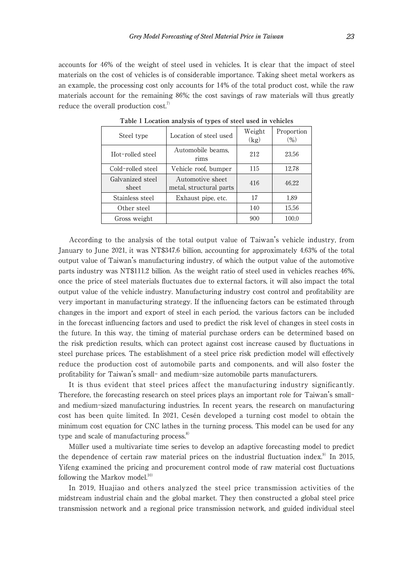accounts for 46% of the weight of steel used in vehicles. It is clear that the impact of steel materials on the cost of vehicles is of considerable importance. Taking sheet metal workers as an example, the processing cost only accounts for 14% of the total product cost, while the raw materials account for the remaining 86%; the cost savings of raw materials will thus greatly reduce the overall production  $cost<sub>i</sub><sup>7</sup>$ 

| Steel type                | Location of steel used                      | Weight<br>(kg) | Proportion<br>$(\% )$ |
|---------------------------|---------------------------------------------|----------------|-----------------------|
| Hot-rolled steel          | Automobile beams.<br>rims                   | 212            | 23.56                 |
| Cold-rolled steel         | Vehicle roof, bumper                        | 115            | 12.78                 |
| Galvanized steel<br>sheet | Automotive sheet<br>metal, structural parts | 416            | 46.22                 |
| Stainless steel           | Exhaust pipe, etc.                          | 17             | 1.89                  |
| Other steel               |                                             | 140            | 15.56                 |
| Gross weight              |                                             | 900            | 100.0                 |

**Table** 1 **Location analysis of types of steel used in vehicles**

According to the analysis of the total output value of Taiwan's vehicle industry, from January to June 2021, it was NT\$347.6 billion, accounting for approximately 4.63% of the total output value of Taiwan's manufacturing industry, of which the output value of the automotive parts industry was NT\$111.2 billion. As the weight ratio of steel used in vehicles reaches 46%, once the price of steel materials fluctuates due to external factors, it will also impact the total output value of the vehicle industry. Manufacturing industry cost control and profitability are very important in manufacturing strategy. If the influencing factors can be estimated through changes in the import and export of steel in each period, the various factors can be included in the forecast influencing factors and used to predict the risk level of changes in steel costs in the future. In this way, the timing of material purchase orders can be determined based on the risk prediction results, which can protect against cost increase caused by fluctuations in steel purchase prices. The establishment of a steel price risk prediction model will effectively reduce the production cost of automobile parts and components, and will also foster the profitability for Taiwan's small- and medium-size automobile parts manufacturers.

It is thus evident that steel prices affect the manufacturing industry significantly. Therefore, the forecasting research on steel prices plays an important role for Taiwan's smalland medium-sized manufacturing industries. In recent years, the research on manufacturing cost has been quite limited. In 2021, Cesén developed a turning cost model to obtain the minimum cost equation for CNC lathes in the turning process. This model can be used for any type and scale of manufacturing process. $8$ 

Müller used a multivariate time series to develop an adaptive forecasting model to predict the dependence of certain raw material prices on the industrial fluctuation index.<sup>9)</sup> In 2015, Yifeng examined the pricing and procurement control mode of raw material cost fluctuations following the Markov model. $10$ 

In 2019, Huajiao and others analyzed the steel price transmission activities of the midstream industrial chain and the global market. They then constructed a global steel price transmission network and a regional price transmission network, and guided individual steel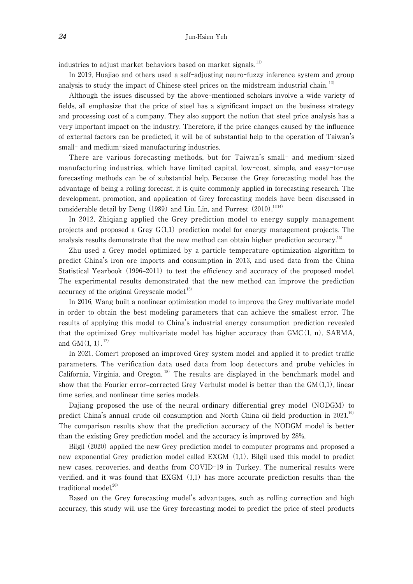industries to adjust market behaviors based on market signals.<sup>11)</sup>

In 2019, Huajiao and others used a self-adjusting neuro-fuzzy inference system and group analysis to study the impact of Chinese steel prices on the midstream industrial chain.<sup>12)</sup>

Although the issues discussed by the above-mentioned scholars involve a wide variety of fields, all emphasize that the price of steel has a significant impact on the business strategy and processing cost of a company. They also support the notion that steel price analysis has a very important impact on the industry. Therefore, if the price changes caused by the influence of external factors can be predicted, it will be of substantial help to the operation of Taiwan's small- and medium-sized manufacturing industries.

There are various forecasting methods, but for Taiwan's small- and medium-sized manufacturing industries, which have limited capital, low-cost, simple, and easy-to-use forecasting methods can be of substantial help. Because the Grey forecasting model has the advantage of being a rolling forecast, it is quite commonly applied in forecasting research. The development, promotion, and application of Grey forecasting models have been discussed in considerable detail by Deng  $(1989)$  and Liu, Lin, and Forrest  $(2010)$ <sup>13,14)</sup>

In 2012, Zhiqiang applied the Grey prediction model to energy supply management projects and proposed a Grey  $G(1,1)$  prediction model for energy management projects. The analysis results demonstrate that the new method can obtain higher prediction accuracy.<sup>15)</sup>

Zhu used a Grey model optimized by a particle temperature optimization algorithm to predict China's iron ore imports and consumption in 2013, and used data from the China Statistical Yearbook (1996–2011) to test the efficiency and accuracy of the proposed model. The experimental results demonstrated that the new method can improve the prediction accuracy of the original Greyscale model.<sup>16)</sup>

In 2016, Wang built a nonlinear optimization model to improve the Grey multivariate model in order to obtain the best modeling parameters that can achieve the smallest error. The results of applying this model to China's industrial energy consumption prediction revealed that the optimized Grey multivariate model has higher accuracy than  $GMC(1, n)$ , SARMA, and  $GM(1, 1).$ <sup>17)</sup>

In 2021, Comert proposed an improved Grey system model and applied it to predict traffic parameters. The verification data used data from loop detectors and probe vehicles in California, Virginia, and Oregon.<sup>18)</sup> The results are displayed in the benchmark model and show that the Fourier error–corrected Grey Verhulst model is better than the  $GM(1,1)$ , linear time series, and nonlinear time series models.

Dajiang proposed the use of the neural ordinary differential grey model (NODGM) to predict China's annual crude oil consumption and North China oil field production in 2021.<sup>19)</sup> The comparison results show that the prediction accuracy of the NODGM model is better than the existing Grey prediction model, and the accuracy is improved by 28%.

Bilgil (2020) applied the new Grey prediction model to computer programs and proposed a new exponential Grey prediction model called EXGM (1,1). Bilgil used this model to predict new cases, recoveries, and deaths from COVID-19 in Turkey. The numerical results were verified, and it was found that EXGM (1,1) has more accurate prediction results than the traditional model. $20$ 

Based on the Grey forecasting model's advantages, such as rolling correction and high accuracy, this study will use the Grey forecasting model to predict the price of steel products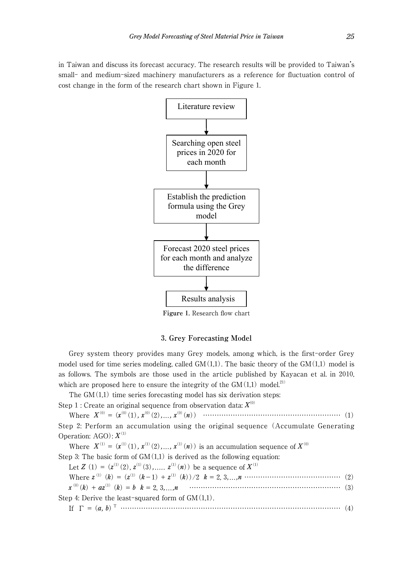in Taiwan and discuss its forecast accuracy. The research results will be provided to Taiwan's small- and medium-sized machinery manufacturers as a reference for fluctuation control of cost change in the form of the research chart shown in Figure 1.



**Figure** 1**.** Research flow chart

## 3**. Grey Forecasting Model**

Grey system theory provides many Grey models, among which, is the first-order Grey model used for time series modeling, called  $GM(1,1)$ . The basic theory of the  $GM(1,1)$  model is as follows. The symbols are those used in the article published by Kayacan et al. in 2010, which are proposed here to ensure the integrity of the  $GM(1,1)$  model.<sup>21)</sup>

The  $GM(1,1)$  time series forecasting model has six derivation steps:

Step 1 : Create an original sequence from observation data:  $X^{(0)}$ 

Where *X*(0) = (*x* (0)(1)*, x* (0)(2)*,*...*, x* (0)(*n*)) …………………………………………………… (1) Step 2: Perform an accumulation using the original sequence (Accumulate Generating Operation:  $AGO$ ):  $X^{(1)}$ 

Where  $X^{(1)} = (x^{(1)}(1), x^{(1)}(2), \ldots, x^{(1)}(n))$  is an accumulation sequence of  $X^{(0)}$ 

Step 3: The basic form of  $GM(1,1)$  is derived as the following equation:

Let *Z* (1) =  $(z^{(1)}(2), z^{(1)}(3), \ldots, z^{(1)}(n))$  be a sequence of  $X^{(1)}$ 

Where *z* (1) (*k*) = (*z* (1) (*k*-1) + *z* (1) (*k*))/2 *k* = 2, 3*,*...*,n* …………………………………… (2)

*x* (0)(*k*) + *az*(1) (*k*) = *b k* = 2, 3*,*...*,n* ………………………………………………………… (3)

Step 4: Derive the least-squared form of  $GM(1,1)$ . If Γ = (*a, b*) T …………………………………………………………………………………… (4)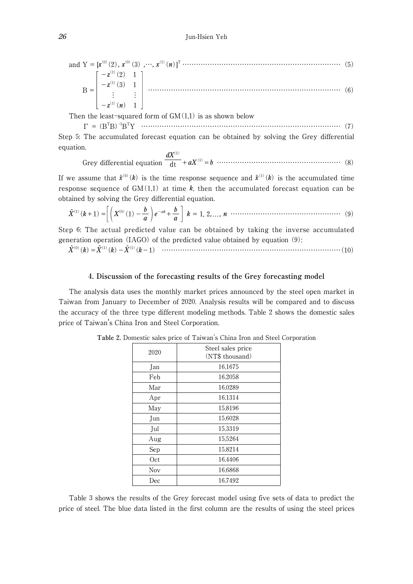and 
$$
Y = [x^{(0)}(2), x^{(0)}(3), \cdots, x^{(1)}(n)]^T
$$
 (5)  
\n
$$
B = \begin{bmatrix} -z^{(1)}(2) & 1 \\ -z^{(1)}(3) & 1 \\ \vdots & \vdots \\ -z^{(1)}(n) & 1 \end{bmatrix}
$$
 (6)

Then the least-squared form of  $GM(1,1)$  is as shown below

 Γ = (B<sup>T</sup> B)-1BT Y …………………………………………………………………………… (7)

Step 5: The accumulated forecast equation can be obtained by solving the Grey differential equation. *dX*(1)

 Grey differential equation dt +*aX*(1)=*b* ……………………………………………… (8)

If we assume that  $\hat{\mathbf{x}}^{(0)}(k)$  is the time response sequence and  $\hat{\mathbf{x}}^{(1)}(k)$  is the accumulated time response sequence of  $GM(1,1)$  at time k, then the accumulated forecast equation can be obtained by solving the Grey differential equation.

^*X*(1)(*k*+1)<sup>=</sup> *<sup>X</sup>*(0)(1)- *<sup>b</sup> a e* -ak+ *b <sup>a</sup> <sup>k</sup>* = 1, 2*,*...*, <sup>n</sup>* ………………………………………… (9)

Step 6: The actual predicted value can be obtained by taking the inverse accumulated generation operation (IAGO) of the predicted value obtained by equation (9):

^*X*(0)(*k*)=^*X*(1)(*k*)-^*X*(1)(*k*-1) ……………………………………………………………………(10)

## 4**. Discussion of the forecasting results of the Grey forecasting model**

The analysis data uses the monthly market prices announced by the steel open market in Taiwan from January to December of 2020. Analysis results will be compared and to discuss the accuracy of the three type different modeling methods. Table 2 shows the domestic sales price of Taiwan's China Iron and Steel Corporation.

| 2020       | Steel sales price<br>(NT\$ thousand) |
|------------|--------------------------------------|
| Jan        | 16.1675                              |
| Feb        | 16.2058                              |
| Mar        | 16.0289                              |
| Apr        | 16.1314                              |
| May        | 15.8196                              |
| Jun        | 15.6028                              |
| Jul        | 15.3319                              |
| Aug        | 15.5264                              |
| Sep        | 15.8214                              |
| Oct        | 16.4406                              |
| <b>Nov</b> | 16.6868                              |
| Dec        | 16.7492                              |

**Table** 2**.** Domestic sales price of Taiwan's China Iron and Steel Corporation

Table 3 shows the results of the Grey forecast model using five sets of data to predict the price of steel. The blue data listed in the first column are the results of using the steel prices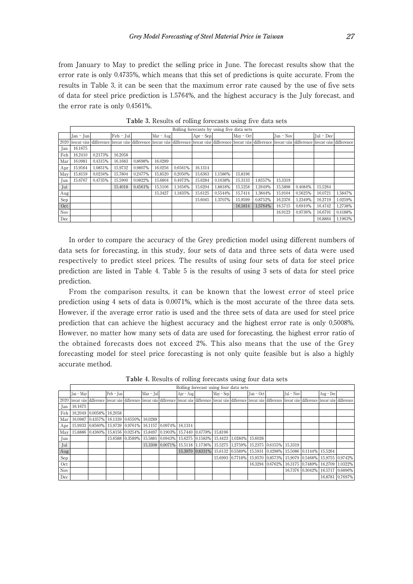from January to May to predict the selling price in June. The forecast results show that the error rate is only 0.4735%, which means that this set of predictions is quite accurate. From the results in Table 3, it can be seen that the maximum error rate caused by the use of five sets of data for steel price prediction is 1.5764%, and the highest accuracy is the July forecast, and the error rate is only 0.4561%.

|     |           |         |             |         |           |         |             |         | Rolling forecasts by using five data sets                                                                                                                                                                                      |         |              |         |             |         |
|-----|-----------|---------|-------------|---------|-----------|---------|-------------|---------|--------------------------------------------------------------------------------------------------------------------------------------------------------------------------------------------------------------------------------|---------|--------------|---------|-------------|---------|
|     | Jan - Jun |         | $Feb - Jul$ |         | Mar - Aug |         | $Apr - Sep$ |         | May - Oct                                                                                                                                                                                                                      |         | $I$ un - Nov |         | $Iul - Dec$ |         |
|     |           |         |             |         |           |         |             |         | 2020   forecast value   difference   forecast value   difference   forecast value   difference   forecast value   difference   forecast value   difference   forecast value   difference   forecast value   difference   forec |         |              |         |             |         |
| Jan | 16.1675   |         |             |         |           |         |             |         |                                                                                                                                                                                                                                |         |              |         |             |         |
| Feb | 16.2410   | 0.2173% | 16.2058     |         |           |         |             |         |                                                                                                                                                                                                                                |         |              |         |             |         |
| Mar | 16.0981   | 0.4315% | 16.1683     | 0.8698% | 16.0289   |         |             |         |                                                                                                                                                                                                                                |         |              |         |             |         |
| Apr | 15.9564   | 1.0851% | 15.9732     | 0.9807% | 16.0256   | 0.6561% | 16.1314     |         |                                                                                                                                                                                                                                |         |              |         |             |         |
| May | 15,8159   | 0.0234% | 15.7804     | 0.2477% | 15,8520   | 0.2050% | 15.6363     | 1.1586% | 15,8196                                                                                                                                                                                                                        |         |              |         |             |         |
| Jun | 15.6767   | 0.4735% | 15.5900     | 0.0822% | 15.6804   | 0.4973% | 15.6284     | 0.1638% | 15.3133                                                                                                                                                                                                                        | 1.8557% | 15,3319      |         |             |         |
| Jul |           |         | 15.4018     | 0.4561% | 15.5106   | 1.1656% | 15.6204     | 1.8818% | 15.5258                                                                                                                                                                                                                        | 1.2649% | 15,5898      | 0.4084% | 15.5264     |         |
| Aug |           |         |             |         | 15.3427   | 1.1835% | 15.6125     | 0.5544% | 15.7414                                                                                                                                                                                                                        | 1.3844% | 15.9104      | 0.5625% | 16,0721     | 1.5847% |
| Sep |           |         |             |         |           |         | 15,6045     | 1.3707% | 15.9599                                                                                                                                                                                                                        | 0.8752% | 16.2376      | 1.2349% | 16.2719     | 1.0259% |
| Oct |           |         |             |         |           |         |             |         | 16.1814                                                                                                                                                                                                                        | 1.5764% | 16.5715      | 0.6910% | 16.4742     | 1.2738% |
| Nov |           |         |             |         |           |         |             |         |                                                                                                                                                                                                                                |         | 16.9123      | 0.9736% | 16,6791     | 0.4188% |
| Dec |           |         |             |         |           |         |             |         |                                                                                                                                                                                                                                |         |              |         | 16.8864     | 1.1963% |

**Table** 3**.** Results of rolling forecasts using five data sets

In order to compare the accuracy of the Grey prediction model using different numbers of data sets for forecasting, in this study, four sets of data and three sets of data were used respectively to predict steel prices. The results of using four sets of data for steel price prediction are listed in Table 4. Table 5 is the results of using 3 sets of data for steel price prediction.

From the comparison results, it can be known that the lowest error of steel price prediction using 4 sets of data is 0.0071%, which is the most accurate of the three data sets. However, if the average error ratio is used and the three sets of data are used for steel price prediction that can achieve the highest accuracy and the highest error rate is only 0.5008%. However, no matter how many sets of data are used for forecasting, the highest error ratio of the obtained forecasts does not exceed 2%. This also means that the use of the Grey forecasting model for steel price forecasting is not only quite feasible but is also a highly accurate method.

|            | Rolling forecast using four data sets |                                         |               |  |             |                                                                                                                                                                                                                                |           |                                         |           |  |             |  |             |                                         |                                 |                                                                 |
|------------|---------------------------------------|-----------------------------------------|---------------|--|-------------|--------------------------------------------------------------------------------------------------------------------------------------------------------------------------------------------------------------------------------|-----------|-----------------------------------------|-----------|--|-------------|--|-------------|-----------------------------------------|---------------------------------|-----------------------------------------------------------------|
|            | Ian - May                             |                                         | $[Feb - Jun]$ |  | $Mar - Iul$ |                                                                                                                                                                                                                                | Apr - Aug |                                         | May - Sep |  | 'Jun − Oct⊥ |  | $Iul - Nov$ |                                         | Aug - Dec                       |                                                                 |
|            |                                       |                                         |               |  |             | 2020   forecast value   difference   forecast value   difference   forecast value   difference   forecast value   difference   forecast value   difference   forecast value   difference   forecast value   difference   forec |           |                                         |           |  |             |  |             |                                         |                                 |                                                                 |
| Jan        | 16.1675                               |                                         |               |  |             |                                                                                                                                                                                                                                |           |                                         |           |  |             |  |             |                                         |                                 |                                                                 |
| Feb        |                                       | 16.2049 0.0058% 16.2058                 |               |  |             |                                                                                                                                                                                                                                |           |                                         |           |  |             |  |             |                                         |                                 |                                                                 |
| Mar        |                                       | 16.0987 0.4357% 16.1339 0.6550% 16.0289 |               |  |             |                                                                                                                                                                                                                                |           |                                         |           |  |             |  |             |                                         |                                 |                                                                 |
| Apr        |                                       | 15.9933 0.8560%                         |               |  |             | 15.9739 0.9761% 16.1157 0.0974% 16.1314                                                                                                                                                                                        |           |                                         |           |  |             |  |             |                                         |                                 |                                                                 |
| May        |                                       |                                         |               |  |             | 15.8886 0.4360% 15.8156 0.0254% 15.8497 0.1903% 15.7440 0.4778% 15.8196                                                                                                                                                        |           |                                         |           |  |             |  |             |                                         |                                 |                                                                 |
| Jun        |                                       |                                         |               |  |             | 15.6588 0.3589% 15.5881 0.0943% 15.6275 0.1583% 15.4423 1.0284%                                                                                                                                                                |           |                                         |           |  | 15,6028     |  |             |                                         |                                 |                                                                 |
| Jul        |                                       |                                         |               |  |             | 15.3308 0.0071% 15.5118 1.1736% 15.5275 1.2759% 15.2375 0.6155% 1                                                                                                                                                              |           |                                         |           |  |             |  | 15,3319     |                                         |                                 |                                                                 |
| Aug        |                                       |                                         |               |  |             |                                                                                                                                                                                                                                |           | 15.3970 0.8331% 15.6132 0.5589% 15.5931 |           |  |             |  |             | 0.4298% 15.5086 0.1144% 15.5264         |                                 |                                                                 |
| Sep        |                                       |                                         |               |  |             |                                                                                                                                                                                                                                |           |                                         |           |  |             |  |             |                                         |                                 | 15.6993 0.7718% 15.9570 0.8573% 15.9079 0.5468% 15.9755 0.9742% |
| Oct        |                                       |                                         |               |  |             |                                                                                                                                                                                                                                |           |                                         |           |  |             |  |             | 16.3294 0.6762% 16.3175 0.7489% 16.2709 |                                 | 1.0322%                                                         |
| <b>Nov</b> |                                       |                                         |               |  |             |                                                                                                                                                                                                                                |           |                                         |           |  |             |  |             |                                         | 16.7376 0.3042% 16.5717 0.6896% |                                                                 |
| Dec        |                                       |                                         |               |  |             |                                                                                                                                                                                                                                |           |                                         |           |  |             |  |             |                                         |                                 | 16.8781 0.7697%                                                 |

**Table** 4**.** Results of rolling forecasts using four data sets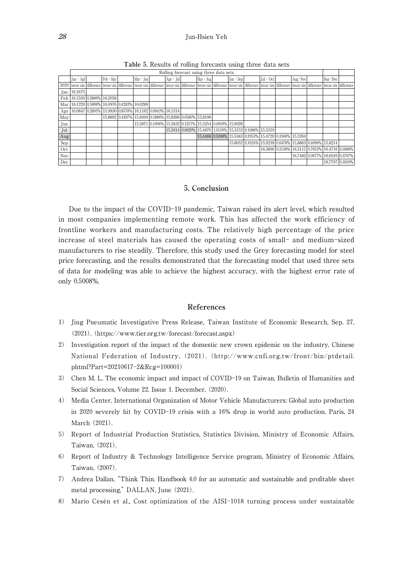#### *28* Jun-Hsien Yeh

|     | Rolling forecast using three data sets                                                                                                                                                                                         |  |           |                                                         |           |  |                                                         |  |                                                         |  |             |                                                         |             |  |          |  |                                                 |                 |
|-----|--------------------------------------------------------------------------------------------------------------------------------------------------------------------------------------------------------------------------------|--|-----------|---------------------------------------------------------|-----------|--|---------------------------------------------------------|--|---------------------------------------------------------|--|-------------|---------------------------------------------------------|-------------|--|----------|--|-------------------------------------------------|-----------------|
|     | $Jan - ADI$                                                                                                                                                                                                                    |  | Feb - May |                                                         | Mar - Jun |  | $Apr - Jul$                                             |  | May - Aug                                               |  | $Jun - Sep$ |                                                         | $Iul - Oct$ |  | Aug -Nov |  | Sep-Dec                                         |                 |
|     | 2020   forecast value   difference   forecast value   difference   forecast value   difference   forecast value   difference   forecast value   difference   forecast value   difference   forecast value   difference   forec |  |           |                                                         |           |  |                                                         |  |                                                         |  |             |                                                         |             |  |          |  |                                                 |                 |
|     | $Ian$ 16.1675                                                                                                                                                                                                                  |  |           |                                                         |           |  |                                                         |  |                                                         |  |             |                                                         |             |  |          |  |                                                 |                 |
|     | Feb 16.1593 0.2866% 16.2058                                                                                                                                                                                                    |  |           |                                                         |           |  |                                                         |  |                                                         |  |             |                                                         |             |  |          |  |                                                 |                 |
|     | Mar   16.1220   0.5808%   16.0976   0.4283%   16.0289                                                                                                                                                                          |  |           |                                                         |           |  |                                                         |  |                                                         |  |             |                                                         |             |  |          |  |                                                 |                 |
|     | Apr   16.0847   0.2893%   15.9930   0.8578%   16.1162   0.0943%   16.1314                                                                                                                                                      |  |           |                                                         |           |  |                                                         |  |                                                         |  |             |                                                         |             |  |          |  |                                                 |                 |
| May |                                                                                                                                                                                                                                |  |           | 15.8892 0.4397% 15.8494 0.1886% 15.8288 0.0580% 15.8196 |           |  |                                                         |  |                                                         |  |             |                                                         |             |  |          |  |                                                 |                 |
| Jun |                                                                                                                                                                                                                                |  |           |                                                         |           |  | 15.5871 0.1006% 15.5832 0.1257% 15.5254 0.4959% 15.6028 |  |                                                         |  |             |                                                         |             |  |          |  |                                                 |                 |
| Jul |                                                                                                                                                                                                                                |  |           |                                                         |           |  |                                                         |  | 15.3414 0.0620% 15.4870 1.0116% 15.3152 0.1088% 15.3319 |  |             |                                                         |             |  |          |  |                                                 |                 |
| Aug |                                                                                                                                                                                                                                |  |           |                                                         |           |  |                                                         |  |                                                         |  |             | 15.4486 0.5008% 15.5583 0.2053% 15.4720 0.3506% 15.5264 |             |  |          |  |                                                 |                 |
| Sep |                                                                                                                                                                                                                                |  |           |                                                         |           |  |                                                         |  |                                                         |  |             | 15.8052 0.1024% 15.9239 0.6478% 15.8863 0.4099% 15.8214 |             |  |          |  |                                                 |                 |
| Oct |                                                                                                                                                                                                                                |  |           |                                                         |           |  |                                                         |  |                                                         |  |             |                                                         |             |  |          |  | 16.3890 0.3138% 16.3115 0.7852% 16.4716 0.1888% |                 |
| Nov |                                                                                                                                                                                                                                |  |           |                                                         |           |  |                                                         |  |                                                         |  |             |                                                         |             |  |          |  | 16.7482 0.3677% 16.6249 0.3707%                 |                 |
| Dec |                                                                                                                                                                                                                                |  |           |                                                         |           |  |                                                         |  |                                                         |  |             |                                                         |             |  |          |  |                                                 | 16.7797 0.1819% |

**Table** 5**.** Results of rolling forecasts using three data sets

## 5**. Conclusion**

Due to the impact of the COVID-19 pandemic, Taiwan raised its alert level, which resulted in most companies implementing remote work. This has affected the work efficiency of frontline workers and manufacturing costs. The relatively high percentage of the price increase of steel materials has caused the operating costs of small- and medium-sized manufacturers to rise steadily. Therefore, this study used the Grey forecasting model for steel price forecasting, and the results demonstrated that the forecasting model that used three sets of data for modeling was able to achieve the highest accuracy, with the highest error rate of only 0.5008%.

#### **References**

- 1) Jing Pneumatic Investigative Press Release, Taiwan Institute of Economic Research, Sep. 27, (2021). (https://www.tier.org.tw/forecast/forecast.aspx)
- 2) Investigation report of the impact of the domestic new crown epidemic on the industry, Chinese National Federation of Industry, (2021). (http://www.cnfi.org.tw/front/bin/ptdetail. phtml?Part=20210617-2&Rcg=100001)
- 3) Chen M. L, The economic impact and impact of COVID-19 on Taiwan, Bulletin of Humanities and Social Sciences, Volume 22, Issue 1. December, (2020).
- 4) Media Center, International Organization of Motor Vehicle Manufacturers: Global auto production in 2020 severely hit by COVID-19 crisis with a 16% drop in world auto production, Paris, 24 March (2021).
- 5) Report of Industrial Production Statistics, Statistics Division, Ministry of Economic Affairs, Taiwan, (2021).
- 6) Report of Industry & Technology Intelligence Service program, Ministry of Economic Affairs, Taiwan, (2007).
- 7) Andrea Dallan, "Think Thin. Handbook 4.0 for an automatic and sustainable and profitable sheet metal processing," DALLAN, June (2021).
- 8) Mario Cesén et al., Cost optimization of the AISI-1018 turning process under sustainable